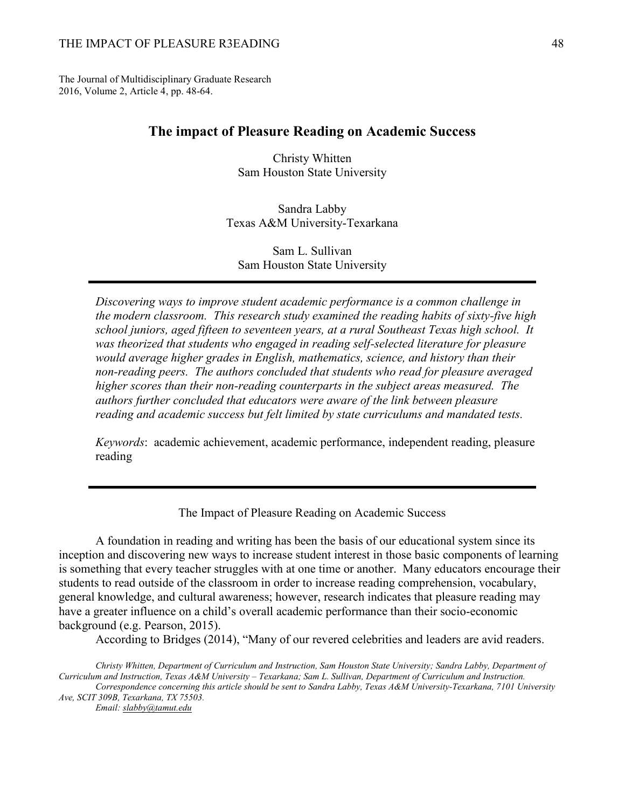#### THE IMPACT OF PLEASURE R3EADING 48

The Journal of Multidisciplinary Graduate Research 2016, Volume 2, Article 4, pp. 48-64.

## **The impact of Pleasure Reading on Academic Success**

Christy Whitten Sam Houston State University

Sandra Labby Texas A&M University-Texarkana

Sam L. Sullivan Sam Houston State University

*Discovering ways to improve student academic performance is a common challenge in the modern classroom. This research study examined the reading habits of sixty-five high school juniors, aged fifteen to seventeen years, at a rural Southeast Texas high school. It was theorized that students who engaged in reading self-selected literature for pleasure would average higher grades in English, mathematics, science, and history than their non-reading peers. The authors concluded that students who read for pleasure averaged higher scores than their non-reading counterparts in the subject areas measured. The authors further concluded that educators were aware of the link between pleasure reading and academic success but felt limited by state curriculums and mandated tests.*

*Keywords*: academic achievement, academic performance, independent reading, pleasure reading

The Impact of Pleasure Reading on Academic Success

A foundation in reading and writing has been the basis of our educational system since its inception and discovering new ways to increase student interest in those basic components of learning is something that every teacher struggles with at one time or another. Many educators encourage their students to read outside of the classroom in order to increase reading comprehension, vocabulary, general knowledge, and cultural awareness; however, research indicates that pleasure reading may have a greater influence on a child's overall academic performance than their socio-economic background (e.g. Pearson, 2015).

According to Bridges (2014), "Many of our revered celebrities and leaders are avid readers.

*Christy Whitten, Department of Curriculum and Instruction, Sam Houston State University; Sandra Labby, Department of Curriculum and Instruction, Texas A&M University – Texarkana; Sam L. Sullivan, Department of Curriculum and Instruction. Correspondence concerning this article should be sent to Sandra Labby, Texas A&M University-Texarkana, 7101 University Ave, SCIT 309B, Texarkana, TX 75503.*

*Email: slabby@tamut.edu*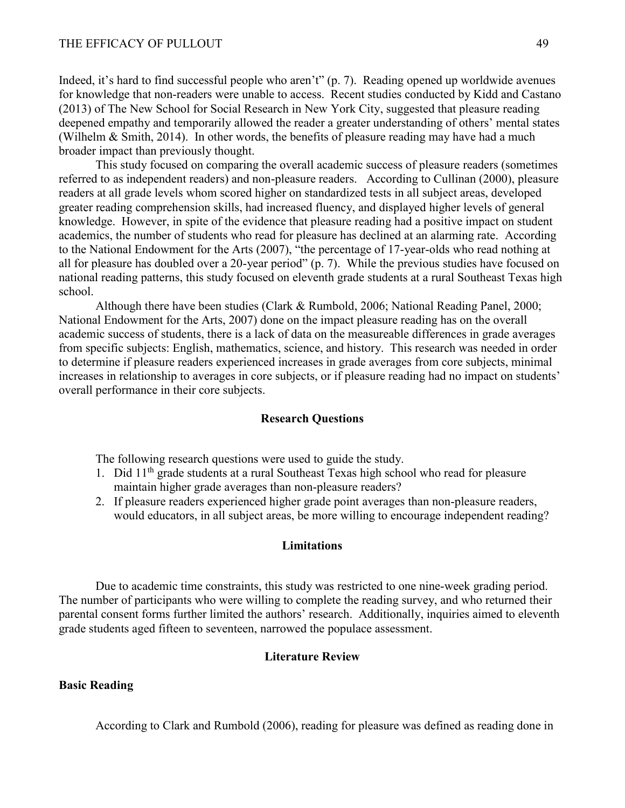#### THE EFFICACY OF PULLOUT 49

Indeed, it's hard to find successful people who aren't" (p. 7). Reading opened up worldwide avenues for knowledge that non-readers were unable to access. Recent studies conducted by Kidd and Castano (2013) of The New School for Social Research in New York City, suggested that pleasure reading deepened empathy and temporarily allowed the reader a greater understanding of others' mental states (Wilhelm & Smith, 2014). In other words, the benefits of pleasure reading may have had a much broader impact than previously thought.

This study focused on comparing the overall academic success of pleasure readers (sometimes referred to as independent readers) and non-pleasure readers. According to Cullinan (2000), pleasure readers at all grade levels whom scored higher on standardized tests in all subject areas, developed greater reading comprehension skills, had increased fluency, and displayed higher levels of general knowledge. However, in spite of the evidence that pleasure reading had a positive impact on student academics, the number of students who read for pleasure has declined at an alarming rate. According to the National Endowment for the Arts (2007), "the percentage of 17-year-olds who read nothing at all for pleasure has doubled over a 20-year period" (p. 7). While the previous studies have focused on national reading patterns, this study focused on eleventh grade students at a rural Southeast Texas high school.

Although there have been studies (Clark & Rumbold, 2006; National Reading Panel, 2000; National Endowment for the Arts, 2007) done on the impact pleasure reading has on the overall academic success of students, there is a lack of data on the measureable differences in grade averages from specific subjects: English, mathematics, science, and history. This research was needed in order to determine if pleasure readers experienced increases in grade averages from core subjects, minimal increases in relationship to averages in core subjects, or if pleasure reading had no impact on students' overall performance in their core subjects.

#### **Research Questions**

The following research questions were used to guide the study.

- 1. Did 11th grade students at a rural Southeast Texas high school who read for pleasure maintain higher grade averages than non-pleasure readers?
- 2. If pleasure readers experienced higher grade point averages than non-pleasure readers, would educators, in all subject areas, be more willing to encourage independent reading?

## **Limitations**

Due to academic time constraints, this study was restricted to one nine-week grading period. The number of participants who were willing to complete the reading survey, and who returned their parental consent forms further limited the authors' research. Additionally, inquiries aimed to eleventh grade students aged fifteen to seventeen, narrowed the populace assessment.

## **Literature Review**

## **Basic Reading**

According to Clark and Rumbold (2006), reading for pleasure was defined as reading done in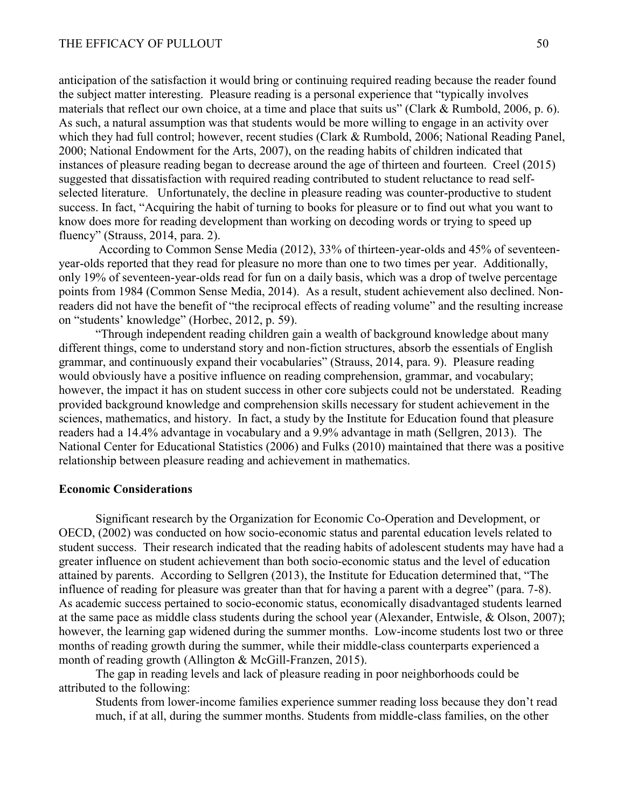anticipation of the satisfaction it would bring or continuing required reading because the reader found the subject matter interesting. Pleasure reading is a personal experience that "typically involves materials that reflect our own choice, at a time and place that suits us" (Clark & Rumbold, 2006, p. 6). As such, a natural assumption was that students would be more willing to engage in an activity over which they had full control; however, recent studies (Clark & Rumbold, 2006; National Reading Panel, 2000; National Endowment for the Arts, 2007), on the reading habits of children indicated that instances of pleasure reading began to decrease around the age of thirteen and fourteen. Creel (2015) suggested that dissatisfaction with required reading contributed to student reluctance to read selfselected literature. Unfortunately, the decline in pleasure reading was counter-productive to student success. In fact, "Acquiring the habit of turning to books for pleasure or to find out what you want to know does more for reading development than working on decoding words or trying to speed up fluency" (Strauss, 2014, para. 2).

According to Common Sense Media (2012), 33% of thirteen-year-olds and 45% of seventeenyear-olds reported that they read for pleasure no more than one to two times per year. Additionally, only 19% of seventeen-year-olds read for fun on a daily basis, which was a drop of twelve percentage points from 1984 (Common Sense Media, 2014). As a result, student achievement also declined. Nonreaders did not have the benefit of "the reciprocal effects of reading volume" and the resulting increase on "students' knowledge" (Horbec, 2012, p. 59).

"Through independent reading children gain a wealth of background knowledge about many different things, come to understand story and non-fiction structures, absorb the essentials of English grammar, and continuously expand their vocabularies" (Strauss, 2014, para. 9). Pleasure reading would obviously have a positive influence on reading comprehension, grammar, and vocabulary; however, the impact it has on student success in other core subjects could not be understated. Reading provided background knowledge and comprehension skills necessary for student achievement in the sciences, mathematics, and history. In fact, a study by the Institute for Education found that pleasure readers had a 14.4% advantage in vocabulary and a 9.9% advantage in math (Sellgren, 2013). The National Center for Educational Statistics (2006) and Fulks (2010) maintained that there was a positive relationship between pleasure reading and achievement in mathematics.

## **Economic Considerations**

Significant research by the Organization for Economic Co-Operation and Development, or OECD, (2002) was conducted on how socio-economic status and parental education levels related to student success. Their research indicated that the reading habits of adolescent students may have had a greater influence on student achievement than both socio-economic status and the level of education attained by parents. According to Sellgren (2013), the Institute for Education determined that, "The influence of reading for pleasure was greater than that for having a parent with a degree" (para. 7-8). As academic success pertained to socio-economic status, economically disadvantaged students learned at the same pace as middle class students during the school year (Alexander, Entwisle, & Olson, 2007); however, the learning gap widened during the summer months. Low-income students lost two or three months of reading growth during the summer, while their middle-class counterparts experienced a month of reading growth (Allington & McGill-Franzen, 2015).

The gap in reading levels and lack of pleasure reading in poor neighborhoods could be attributed to the following:

Students from lower-income families experience summer reading loss because they don't read much, if at all, during the summer months. Students from middle-class families, on the other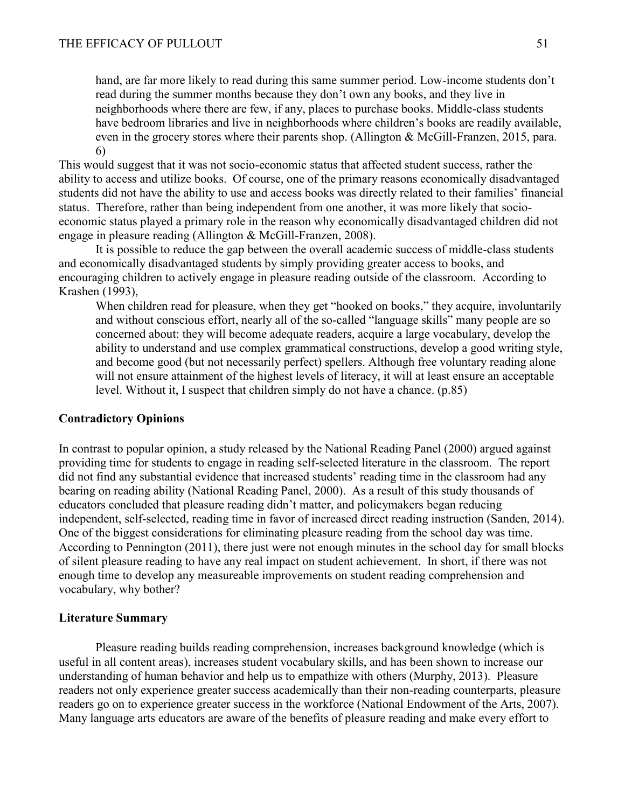hand, are far more likely to read during this same summer period. Low-income students don't read during the summer months because they don't own any books, and they live in neighborhoods where there are few, if any, places to purchase books. Middle-class students have bedroom libraries and live in neighborhoods where children's books are readily available, even in the grocery stores where their parents shop. (Allington & McGill-Franzen, 2015, para. 6)

This would suggest that it was not socio-economic status that affected student success, rather the ability to access and utilize books. Of course, one of the primary reasons economically disadvantaged students did not have the ability to use and access books was directly related to their families' financial status. Therefore, rather than being independent from one another, it was more likely that socioeconomic status played a primary role in the reason why economically disadvantaged children did not engage in pleasure reading (Allington & McGill-Franzen, 2008).

It is possible to reduce the gap between the overall academic success of middle-class students and economically disadvantaged students by simply providing greater access to books, and encouraging children to actively engage in pleasure reading outside of the classroom. According to Krashen (1993),

When children read for pleasure, when they get "hooked on books," they acquire, involuntarily and without conscious effort, nearly all of the so-called "language skills" many people are so concerned about: they will become adequate readers, acquire a large vocabulary, develop the ability to understand and use complex grammatical constructions, develop a good writing style, and become good (but not necessarily perfect) spellers. Although free voluntary reading alone will not ensure attainment of the highest levels of literacy, it will at least ensure an acceptable level. Without it, I suspect that children simply do not have a chance. (p.85)

## **Contradictory Opinions**

In contrast to popular opinion, a study released by the National Reading Panel (2000) argued against providing time for students to engage in reading self-selected literature in the classroom. The report did not find any substantial evidence that increased students' reading time in the classroom had any bearing on reading ability (National Reading Panel, 2000). As a result of this study thousands of educators concluded that pleasure reading didn't matter, and policymakers began reducing independent, self-selected, reading time in favor of increased direct reading instruction (Sanden, 2014). One of the biggest considerations for eliminating pleasure reading from the school day was time. According to Pennington (2011), there just were not enough minutes in the school day for small blocks of silent pleasure reading to have any real impact on student achievement. In short, if there was not enough time to develop any measureable improvements on student reading comprehension and vocabulary, why bother?

#### **Literature Summary**

Pleasure reading builds reading comprehension, increases background knowledge (which is useful in all content areas), increases student vocabulary skills, and has been shown to increase our understanding of human behavior and help us to empathize with others (Murphy, 2013). Pleasure readers not only experience greater success academically than their non-reading counterparts, pleasure readers go on to experience greater success in the workforce (National Endowment of the Arts, 2007). Many language arts educators are aware of the benefits of pleasure reading and make every effort to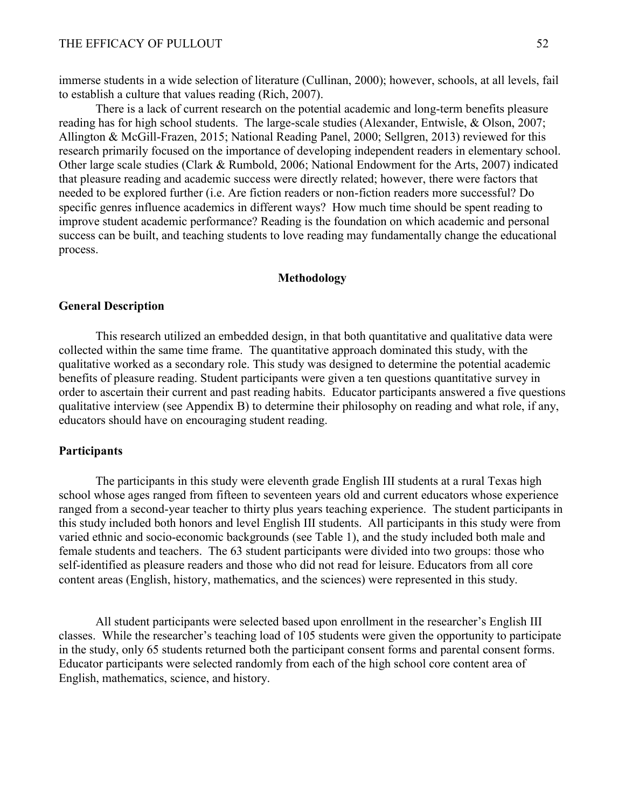immerse students in a wide selection of literature (Cullinan, 2000); however, schools, at all levels, fail to establish a culture that values reading (Rich, 2007).

There is a lack of current research on the potential academic and long-term benefits pleasure reading has for high school students. The large-scale studies (Alexander, Entwisle, & Olson, 2007; Allington & McGill-Frazen, 2015; National Reading Panel, 2000; Sellgren, 2013) reviewed for this research primarily focused on the importance of developing independent readers in elementary school. Other large scale studies (Clark & Rumbold, 2006; National Endowment for the Arts, 2007) indicated that pleasure reading and academic success were directly related; however, there were factors that needed to be explored further (i.e. Are fiction readers or non-fiction readers more successful? Do specific genres influence academics in different ways? How much time should be spent reading to improve student academic performance? Reading is the foundation on which academic and personal success can be built, and teaching students to love reading may fundamentally change the educational process.

#### **Methodology**

#### **General Description**

This research utilized an embedded design, in that both quantitative and qualitative data were collected within the same time frame. The quantitative approach dominated this study, with the qualitative worked as a secondary role. This study was designed to determine the potential academic benefits of pleasure reading. Student participants were given a ten questions quantitative survey in order to ascertain their current and past reading habits. Educator participants answered a five questions qualitative interview (see Appendix B) to determine their philosophy on reading and what role, if any, educators should have on encouraging student reading.

#### **Participants**

The participants in this study were eleventh grade English III students at a rural Texas high school whose ages ranged from fifteen to seventeen years old and current educators whose experience ranged from a second-year teacher to thirty plus years teaching experience. The student participants in this study included both honors and level English III students. All participants in this study were from varied ethnic and socio-economic backgrounds (see Table 1), and the study included both male and female students and teachers. The 63 student participants were divided into two groups: those who self-identified as pleasure readers and those who did not read for leisure. Educators from all core content areas (English, history, mathematics, and the sciences) were represented in this study.

All student participants were selected based upon enrollment in the researcher's English III classes. While the researcher's teaching load of 105 students were given the opportunity to participate in the study, only 65 students returned both the participant consent forms and parental consent forms. Educator participants were selected randomly from each of the high school core content area of English, mathematics, science, and history.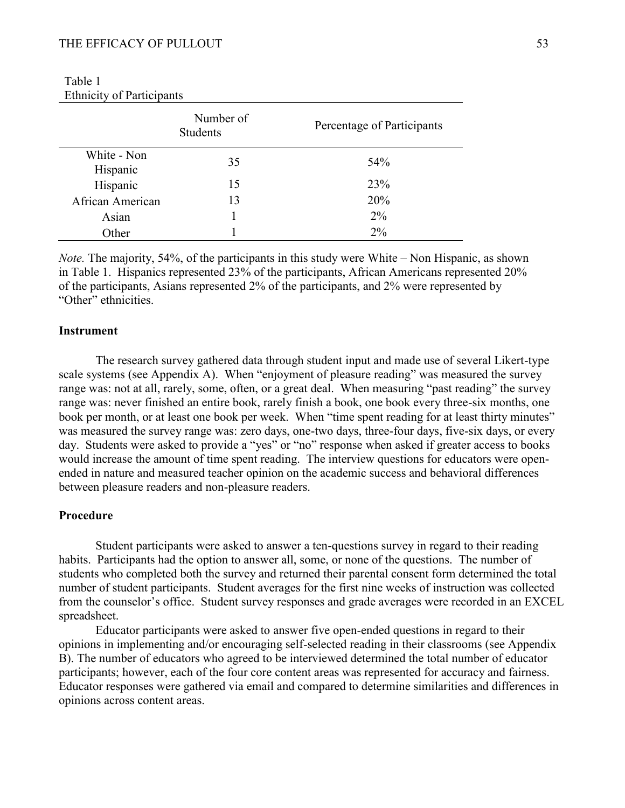|                         | Number of<br><b>Students</b> | Percentage of Participants |
|-------------------------|------------------------------|----------------------------|
| White - Non<br>Hispanic | 35                           | 54 <sup>%</sup>            |
| Hispanic                | 15                           | 23%                        |
| African American        | 13                           | 20%                        |
| Asian                   |                              | $2\%$                      |
| Other                   |                              | $2\%$                      |

| Table 1                          |  |
|----------------------------------|--|
| <b>Ethnicity of Participants</b> |  |

*Note.* The majority, 54%, of the participants in this study were White – Non Hispanic, as shown in Table 1. Hispanics represented 23% of the participants, African Americans represented 20% of the participants, Asians represented 2% of the participants, and 2% were represented by "Other" ethnicities.

### **Instrument**

The research survey gathered data through student input and made use of several Likert-type scale systems (see Appendix A). When "enjoyment of pleasure reading" was measured the survey range was: not at all, rarely, some, often, or a great deal. When measuring "past reading" the survey range was: never finished an entire book, rarely finish a book, one book every three-six months, one book per month, or at least one book per week. When "time spent reading for at least thirty minutes" was measured the survey range was: zero days, one-two days, three-four days, five-six days, or every day. Students were asked to provide a "yes" or "no" response when asked if greater access to books would increase the amount of time spent reading. The interview questions for educators were openended in nature and measured teacher opinion on the academic success and behavioral differences between pleasure readers and non-pleasure readers.

## **Procedure**

Student participants were asked to answer a ten-questions survey in regard to their reading habits. Participants had the option to answer all, some, or none of the questions. The number of students who completed both the survey and returned their parental consent form determined the total number of student participants. Student averages for the first nine weeks of instruction was collected from the counselor's office. Student survey responses and grade averages were recorded in an EXCEL spreadsheet.

Educator participants were asked to answer five open-ended questions in regard to their opinions in implementing and/or encouraging self-selected reading in their classrooms (see Appendix B). The number of educators who agreed to be interviewed determined the total number of educator participants; however, each of the four core content areas was represented for accuracy and fairness. Educator responses were gathered via email and compared to determine similarities and differences in opinions across content areas.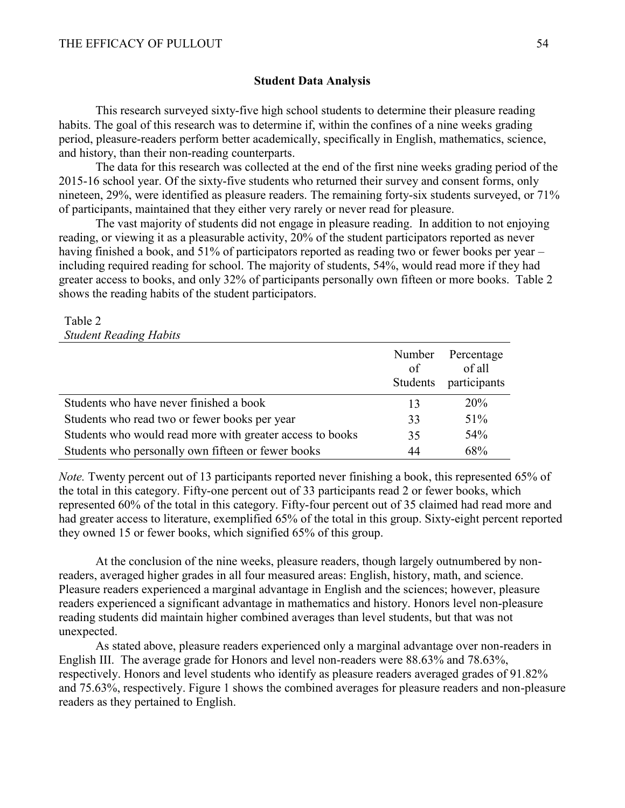## **Student Data Analysis**

This research surveyed sixty-five high school students to determine their pleasure reading habits. The goal of this research was to determine if, within the confines of a nine weeks grading period, pleasure-readers perform better academically, specifically in English, mathematics, science, and history, than their non-reading counterparts.

The data for this research was collected at the end of the first nine weeks grading period of the 2015-16 school year. Of the sixty-five students who returned their survey and consent forms, only nineteen, 29%, were identified as pleasure readers. The remaining forty-six students surveyed, or 71% of participants, maintained that they either very rarely or never read for pleasure.

The vast majority of students did not engage in pleasure reading. In addition to not enjoying reading, or viewing it as a pleasurable activity, 20% of the student participators reported as never having finished a book, and 51% of participators reported as reading two or fewer books per year – including required reading for school. The majority of students, 54%, would read more if they had greater access to books, and only 32% of participants personally own fifteen or more books. Table 2 shows the reading habits of the student participators.

### Table 2 *Student Reading Habits*

|                                                           | Number<br>of<br>Students | Percentage<br>of all<br>participants |
|-----------------------------------------------------------|--------------------------|--------------------------------------|
| Students who have never finished a book                   | 13                       | 20%                                  |
| Students who read two or fewer books per year             |                          | 51%                                  |
| Students who would read more with greater access to books |                          | 54%                                  |
| Students who personally own fifteen or fewer books        |                          | 68%                                  |

*Note.* Twenty percent out of 13 participants reported never finishing a book, this represented 65% of the total in this category. Fifty-one percent out of 33 participants read 2 or fewer books, which represented 60% of the total in this category. Fifty-four percent out of 35 claimed had read more and had greater access to literature, exemplified 65% of the total in this group. Sixty-eight percent reported they owned 15 or fewer books, which signified 65% of this group.

At the conclusion of the nine weeks, pleasure readers, though largely outnumbered by nonreaders, averaged higher grades in all four measured areas: English, history, math, and science. Pleasure readers experienced a marginal advantage in English and the sciences; however, pleasure readers experienced a significant advantage in mathematics and history. Honors level non-pleasure reading students did maintain higher combined averages than level students, but that was not unexpected.

As stated above, pleasure readers experienced only a marginal advantage over non-readers in English III. The average grade for Honors and level non-readers were 88.63% and 78.63%, respectively. Honors and level students who identify as pleasure readers averaged grades of 91.82% and 75.63%, respectively. Figure 1 shows the combined averages for pleasure readers and non-pleasure readers as they pertained to English.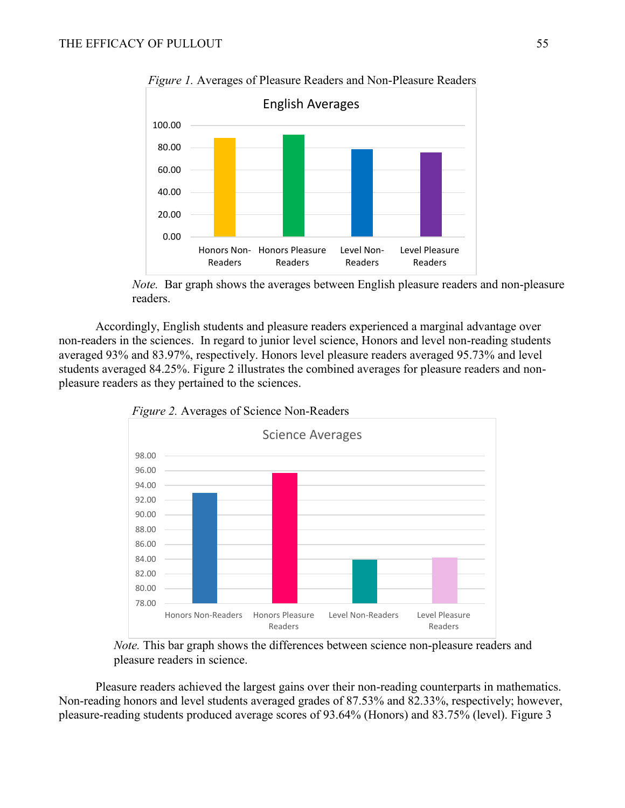

*Figure 1.* Averages of Pleasure Readers and Non-Pleasure Readers

*Note.* Bar graph shows the averages between English pleasure readers and non-pleasure readers.

Accordingly, English students and pleasure readers experienced a marginal advantage over non-readers in the sciences. In regard to junior level science, Honors and level non-reading students averaged 93% and 83.97%, respectively. Honors level pleasure readers averaged 95.73% and level students averaged 84.25%. Figure 2 illustrates the combined averages for pleasure readers and nonpleasure readers as they pertained to the sciences.



*Figure 2.* Averages of Science Non-Readers

*Note.* This bar graph shows the differences between science non-pleasure readers and pleasure readers in science.

Pleasure readers achieved the largest gains over their non-reading counterparts in mathematics. Non-reading honors and level students averaged grades of 87.53% and 82.33%, respectively; however, pleasure-reading students produced average scores of 93.64% (Honors) and 83.75% (level). Figure 3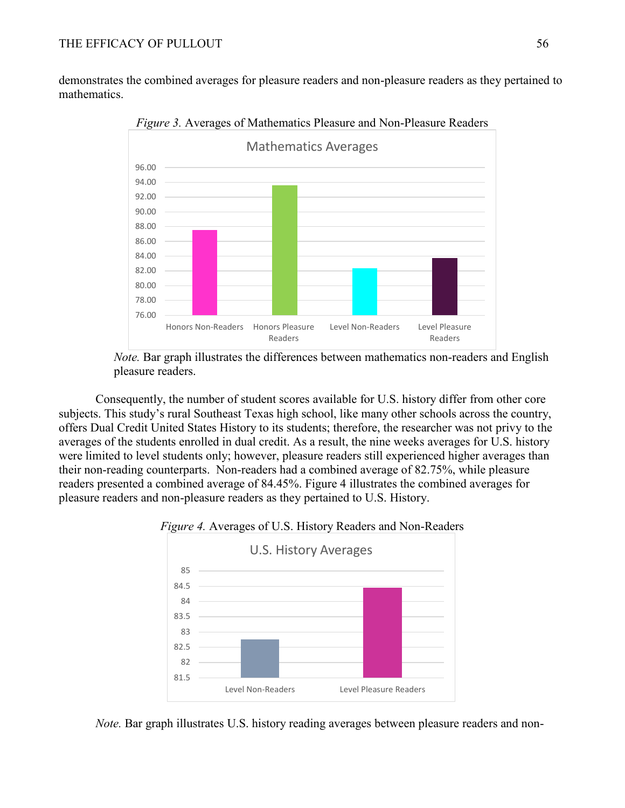demonstrates the combined averages for pleasure readers and non-pleasure readers as they pertained to mathematics.



*Figure 3.* Averages of Mathematics Pleasure and Non-Pleasure Readers

*Note.* Bar graph illustrates the differences between mathematics non-readers and English pleasure readers.

Consequently, the number of student scores available for U.S. history differ from other core subjects. This study's rural Southeast Texas high school, like many other schools across the country, offers Dual Credit United States History to its students; therefore, the researcher was not privy to the averages of the students enrolled in dual credit. As a result, the nine weeks averages for U.S. history were limited to level students only; however, pleasure readers still experienced higher averages than their non-reading counterparts. Non-readers had a combined average of 82.75%, while pleasure readers presented a combined average of 84.45%. Figure 4 illustrates the combined averages for pleasure readers and non-pleasure readers as they pertained to U.S. History.

### *Figure 4.* Averages of U.S. History Readers and Non-Readers



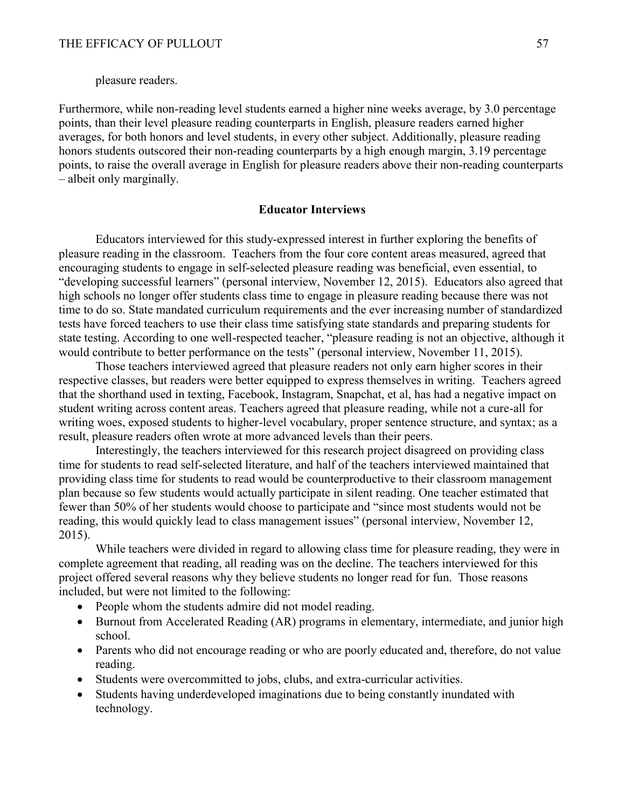pleasure readers.

Furthermore, while non-reading level students earned a higher nine weeks average, by 3.0 percentage points, than their level pleasure reading counterparts in English, pleasure readers earned higher averages, for both honors and level students, in every other subject. Additionally, pleasure reading honors students outscored their non-reading counterparts by a high enough margin, 3.19 percentage points, to raise the overall average in English for pleasure readers above their non-reading counterparts – albeit only marginally.

#### **Educator Interviews**

Educators interviewed for this study-expressed interest in further exploring the benefits of pleasure reading in the classroom. Teachers from the four core content areas measured, agreed that encouraging students to engage in self-selected pleasure reading was beneficial, even essential, to "developing successful learners" (personal interview, November 12, 2015). Educators also agreed that high schools no longer offer students class time to engage in pleasure reading because there was not time to do so. State mandated curriculum requirements and the ever increasing number of standardized tests have forced teachers to use their class time satisfying state standards and preparing students for state testing. According to one well-respected teacher, "pleasure reading is not an objective, although it would contribute to better performance on the tests" (personal interview, November 11, 2015).

Those teachers interviewed agreed that pleasure readers not only earn higher scores in their respective classes, but readers were better equipped to express themselves in writing. Teachers agreed that the shorthand used in texting, Facebook, Instagram, Snapchat, et al, has had a negative impact on student writing across content areas. Teachers agreed that pleasure reading, while not a cure-all for writing woes, exposed students to higher-level vocabulary, proper sentence structure, and syntax; as a result, pleasure readers often wrote at more advanced levels than their peers.

Interestingly, the teachers interviewed for this research project disagreed on providing class time for students to read self-selected literature, and half of the teachers interviewed maintained that providing class time for students to read would be counterproductive to their classroom management plan because so few students would actually participate in silent reading. One teacher estimated that fewer than 50% of her students would choose to participate and "since most students would not be reading, this would quickly lead to class management issues" (personal interview, November 12, 2015).

While teachers were divided in regard to allowing class time for pleasure reading, they were in complete agreement that reading, all reading was on the decline. The teachers interviewed for this project offered several reasons why they believe students no longer read for fun. Those reasons included, but were not limited to the following:

- People whom the students admire did not model reading.
- Burnout from Accelerated Reading (AR) programs in elementary, intermediate, and junior high school.
- Parents who did not encourage reading or who are poorly educated and, therefore, do not value reading.
- Students were overcommitted to jobs, clubs, and extra-curricular activities.
- Students having underdeveloped imaginations due to being constantly inundated with technology.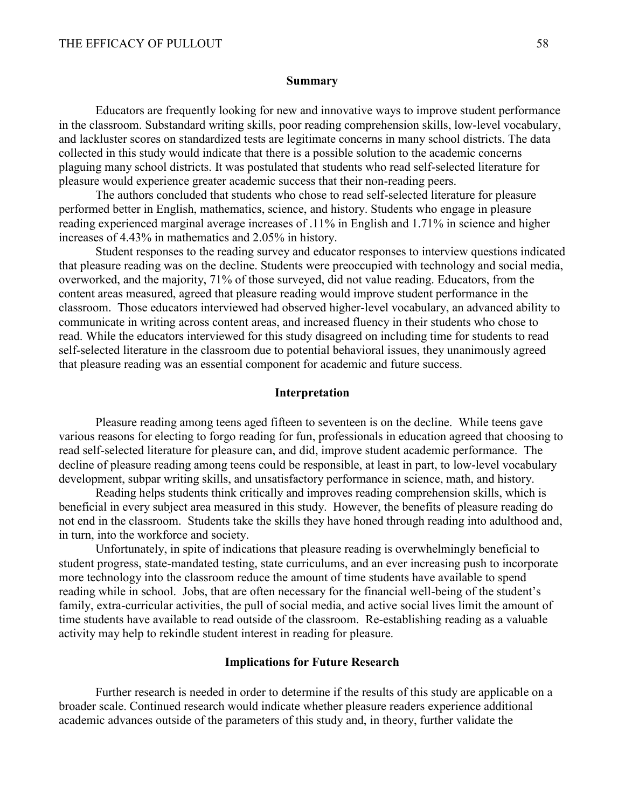#### **Summary**

Educators are frequently looking for new and innovative ways to improve student performance in the classroom. Substandard writing skills, poor reading comprehension skills, low-level vocabulary, and lackluster scores on standardized tests are legitimate concerns in many school districts. The data collected in this study would indicate that there is a possible solution to the academic concerns plaguing many school districts. It was postulated that students who read self-selected literature for pleasure would experience greater academic success that their non-reading peers.

The authors concluded that students who chose to read self-selected literature for pleasure performed better in English, mathematics, science, and history. Students who engage in pleasure reading experienced marginal average increases of .11% in English and 1.71% in science and higher increases of 4.43% in mathematics and 2.05% in history.

Student responses to the reading survey and educator responses to interview questions indicated that pleasure reading was on the decline. Students were preoccupied with technology and social media, overworked, and the majority, 71% of those surveyed, did not value reading. Educators, from the content areas measured, agreed that pleasure reading would improve student performance in the classroom. Those educators interviewed had observed higher-level vocabulary, an advanced ability to communicate in writing across content areas, and increased fluency in their students who chose to read. While the educators interviewed for this study disagreed on including time for students to read self-selected literature in the classroom due to potential behavioral issues, they unanimously agreed that pleasure reading was an essential component for academic and future success.

#### **Interpretation**

Pleasure reading among teens aged fifteen to seventeen is on the decline. While teens gave various reasons for electing to forgo reading for fun, professionals in education agreed that choosing to read self-selected literature for pleasure can, and did, improve student academic performance. The decline of pleasure reading among teens could be responsible, at least in part, to low-level vocabulary development, subpar writing skills, and unsatisfactory performance in science, math, and history.

Reading helps students think critically and improves reading comprehension skills, which is beneficial in every subject area measured in this study. However, the benefits of pleasure reading do not end in the classroom. Students take the skills they have honed through reading into adulthood and, in turn, into the workforce and society.

Unfortunately, in spite of indications that pleasure reading is overwhelmingly beneficial to student progress, state-mandated testing, state curriculums, and an ever increasing push to incorporate more technology into the classroom reduce the amount of time students have available to spend reading while in school. Jobs, that are often necessary for the financial well-being of the student's family, extra-curricular activities, the pull of social media, and active social lives limit the amount of time students have available to read outside of the classroom. Re-establishing reading as a valuable activity may help to rekindle student interest in reading for pleasure.

#### **Implications for Future Research**

Further research is needed in order to determine if the results of this study are applicable on a broader scale. Continued research would indicate whether pleasure readers experience additional academic advances outside of the parameters of this study and, in theory, further validate the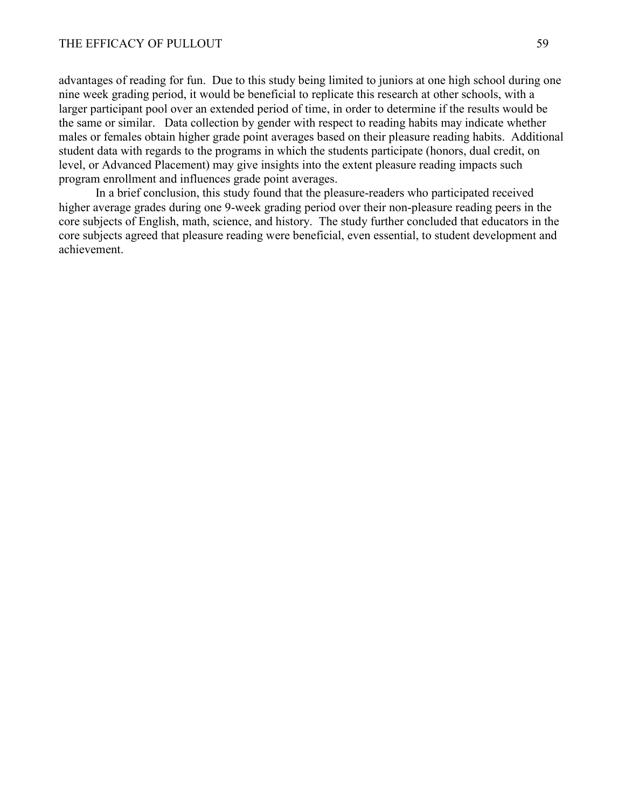advantages of reading for fun. Due to this study being limited to juniors at one high school during one nine week grading period, it would be beneficial to replicate this research at other schools, with a larger participant pool over an extended period of time, in order to determine if the results would be the same or similar. Data collection by gender with respect to reading habits may indicate whether males or females obtain higher grade point averages based on their pleasure reading habits. Additional student data with regards to the programs in which the students participate (honors, dual credit, on level, or Advanced Placement) may give insights into the extent pleasure reading impacts such program enrollment and influences grade point averages.

In a brief conclusion, this study found that the pleasure-readers who participated received higher average grades during one 9-week grading period over their non-pleasure reading peers in the core subjects of English, math, science, and history. The study further concluded that educators in the core subjects agreed that pleasure reading were beneficial, even essential, to student development and achievement.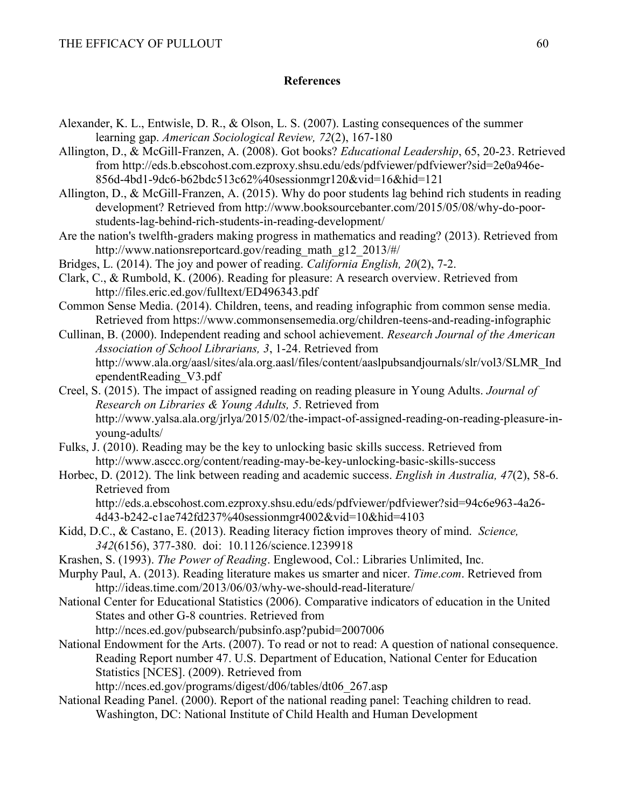## **References**

- Alexander, K. L., Entwisle, D. R., & Olson, L. S. (2007). Lasting consequences of the summer learning gap. *American Sociological Review, 72*(2), 167-180
- Allington, D., & McGill-Franzen, A. (2008). Got books? *Educational Leadership*, 65, 20-23. Retrieved from http://eds.b.ebscohost.com.ezproxy.shsu.edu/eds/pdfviewer/pdfviewer?sid=2e0a946e-856d-4bd1-9dc6-b62bdc513c62%40sessionmgr120&vid=16&hid=121
- Allington, D., & McGill-Franzen, A. (2015). Why do poor students lag behind rich students in reading development? Retrieved from http://www.booksourcebanter.com/2015/05/08/why-do-poorstudents-lag-behind-rich-students-in-reading-development/
- Are the nation's twelfth-graders making progress in mathematics and reading? (2013). Retrieved from http://www.nationsreportcard.gov/reading\_math\_g12\_2013/#/
- Bridges, L. (2014). The joy and power of reading. *California English, 20*(2), 7-2.
- Clark, C., & Rumbold, K. (2006). Reading for pleasure: A research overview. Retrieved from http://files.eric.ed.gov/fulltext/ED496343.pdf
- Common Sense Media. (2014). Children, teens, and reading infographic from common sense media. Retrieved from https://www.commonsensemedia.org/children-teens-and-reading-infographic
- Cullinan, B. (2000). Independent reading and school achievement. *Research Journal of the American Association of School Librarians, 3*, 1-24. Retrieved from http://www.ala.org/aasl/sites/ala.org.aasl/files/content/aaslpubsandjournals/slr/vol3/SLMR\_Ind ependentReading\_V3.pdf
- Creel, S. (2015). The impact of assigned reading on reading pleasure in Young Adults. *Journal of Research on Libraries & Young Adults, 5*. Retrieved from http://www.yalsa.ala.org/jrlya/2015/02/the-impact-of-assigned-reading-on-reading-pleasure-inyoung-adults/
- Fulks, J. (2010). Reading may be the key to unlocking basic skills success. Retrieved from http://www.asccc.org/content/reading-may-be-key-unlocking-basic-skills-success
- Horbec, D. (2012). The link between reading and academic success. *English in Australia, 47*(2), 58-6. Retrieved from http://eds.a.ebscohost.com.ezproxy.shsu.edu/eds/pdfviewer/pdfviewer?sid=94c6e963-4a26-
	- 4d43-b242-c1ae742fd237%40sessionmgr4002&vid=10&hid=4103
- Kidd, D.C., & Castano, E. (2013). Reading literacy fiction improves theory of mind. *Science, 342*(6156), 377-380. doi: 10.1126/science.1239918
- Krashen, S. (1993). *The Power of Reading*. Englewood, Col.: Libraries Unlimited, Inc.
- Murphy Paul, A. (2013). Reading literature makes us smarter and nicer. *Time*.*com*. Retrieved from http://ideas.time.com/2013/06/03/why-we-should-read-literature/
- National Center for Educational Statistics (2006). Comparative indicators of education in the United States and other G-8 countries. Retrieved from http://nces.ed.gov/pubsearch/pubsinfo.asp?pubid=2007006
- National Endowment for the Arts. (2007). To read or not to read: A question of national consequence. Reading Report number 47. U.S. Department of Education, National Center for Education Statistics [NCES]. (2009). Retrieved from

http://nces.ed.gov/programs/digest/d06/tables/dt06\_267.asp

National Reading Panel. (2000). Report of the national reading panel: Teaching children to read. Washington, DC: National Institute of Child Health and Human Development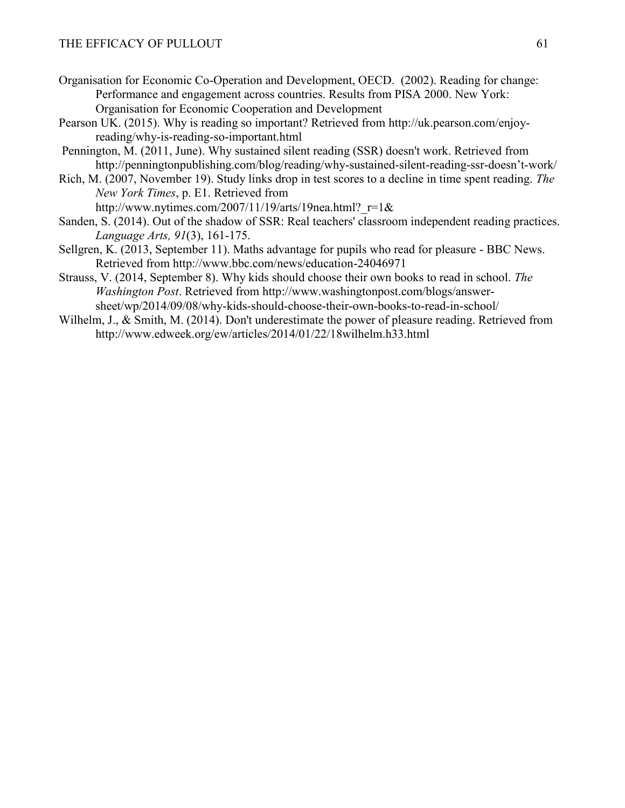- Organisation for Economic Co-Operation and Development, OECD. (2002). Reading for change: Performance and engagement across countries. Results from PISA 2000. New York: Organisation for Economic Cooperation and Development
- Pearson UK. (2015). Why is reading so important? Retrieved from http://uk.pearson.com/enjoyreading/why-is-reading-so-important.html
- Pennington, M. (2011, June). Why sustained silent reading (SSR) doesn't work. Retrieved from http://penningtonpublishing.com/blog/reading/why-sustained-silent-reading-ssr-doesn't-work/
- Rich, M. (2007, November 19). Study links drop in test scores to a decline in time spent reading. *The New York Times*, p. E1. Retrieved from http://www.nytimes.com/2007/11/19/arts/19nea.html? $r=1$ &
- Sanden, S. (2014). Out of the shadow of SSR: Real teachers' classroom independent reading practices. *Language Arts, 91*(3), 161-175.
- Sellgren, K. (2013, September 11). Maths advantage for pupils who read for pleasure BBC News. Retrieved from http://www.bbc.com/news/education-24046971
- Strauss, V. (2014, September 8). Why kids should choose their own books to read in school. *The Washington Post*. Retrieved from http://www.washingtonpost.com/blogs/answersheet/wp/2014/09/08/why-kids-should-choose-their-own-books-to-read-in-school/
- Wilhelm, J., & Smith, M. (2014). Don't underestimate the power of pleasure reading. Retrieved from http://www.edweek.org/ew/articles/2014/01/22/18wilhelm.h33.html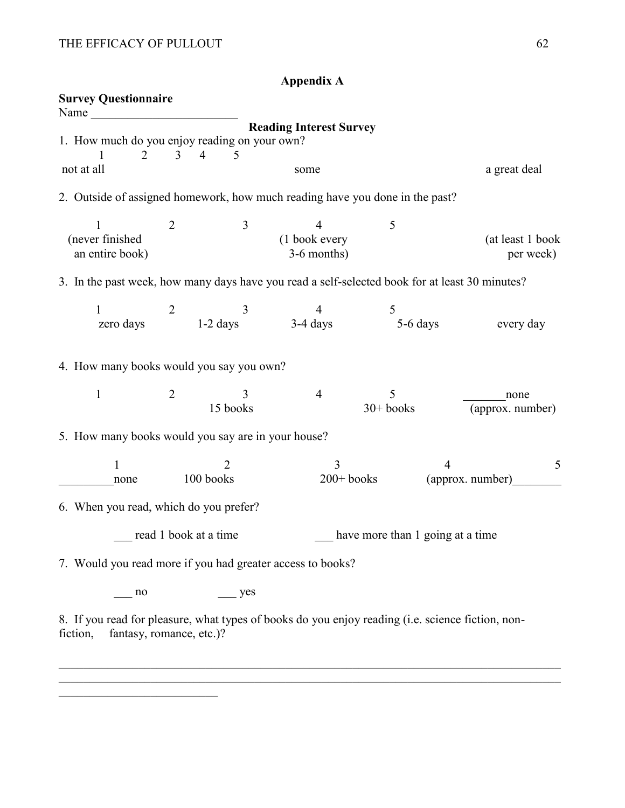fiction, fantasy, romance, etc.)?

\_\_\_\_\_\_\_\_\_\_\_\_\_\_\_\_\_\_\_\_\_\_\_\_\_\_

|                                                                                                                                                                                                                                                              |   |                                            | Appenuix A                        |                  |                                                                                                   |
|--------------------------------------------------------------------------------------------------------------------------------------------------------------------------------------------------------------------------------------------------------------|---|--------------------------------------------|-----------------------------------|------------------|---------------------------------------------------------------------------------------------------|
| <b>Survey Questionnaire</b><br>Name and the same state of the state of the state of the state of the state of the state of the state of the state of the state of the state of the state of the state of the state of the state of the state of the state of |   |                                            |                                   |                  |                                                                                                   |
| 1. How much do you enjoy reading on your own?<br>2                                                                                                                                                                                                           | 3 | $\overline{4}$<br>5                        | <b>Reading Interest Survey</b>    |                  |                                                                                                   |
| not at all                                                                                                                                                                                                                                                   |   |                                            | some                              |                  | a great deal                                                                                      |
| 2. Outside of assigned homework, how much reading have you done in the past?                                                                                                                                                                                 |   |                                            |                                   |                  |                                                                                                   |
| 1<br>(never finished<br>an entire book)                                                                                                                                                                                                                      | 2 | 3                                          | 4<br>(1 book every<br>3-6 months) | 5                | (at least 1 book<br>per week)                                                                     |
|                                                                                                                                                                                                                                                              |   |                                            |                                   |                  | 3. In the past week, how many days have you read a self-selected book for at least 30 minutes?    |
| 1<br>zero days                                                                                                                                                                                                                                               | 2 | 3<br>$1-2 \text{ days}$ $3-4 \text{ days}$ | $\overline{4}$                    | 5<br>5-6 days    | every day                                                                                         |
| 4. How many books would you say you own?                                                                                                                                                                                                                     |   |                                            |                                   |                  |                                                                                                   |
| $\mathbf{1}$                                                                                                                                                                                                                                                 | 2 | 3<br>15 books                              | $\overline{4}$                    | 5<br>$30+$ books | none<br>(approx. number)                                                                          |
| 5. How many books would you say are in your house?                                                                                                                                                                                                           |   |                                            |                                   |                  |                                                                                                   |
| 1<br>none                                                                                                                                                                                                                                                    |   | 2<br>100 books                             | $\overline{3}$<br>$200+$ books    |                  | $\overline{4}$<br>5<br>(approx. number)                                                           |
| 6. When you read, which do you prefer?                                                                                                                                                                                                                       |   |                                            |                                   |                  |                                                                                                   |
|                                                                                                                                                                                                                                                              |   | read 1 book at a time                      |                                   |                  | have more than 1 going at a time                                                                  |
| 7. Would you read more if you had greater access to books?                                                                                                                                                                                                   |   |                                            |                                   |                  |                                                                                                   |
| $\frac{10}{10}$                                                                                                                                                                                                                                              |   | $\equiv$ yes                               |                                   |                  |                                                                                                   |
|                                                                                                                                                                                                                                                              |   |                                            |                                   |                  | 8. If you read for pleasure, what types of books do you enjoy reading (i.e. science fiction, non- |

 $\_$  , and the contribution of the contribution of the contribution of the contribution of  $\mathcal{L}_\text{max}$ 

**Appendix A**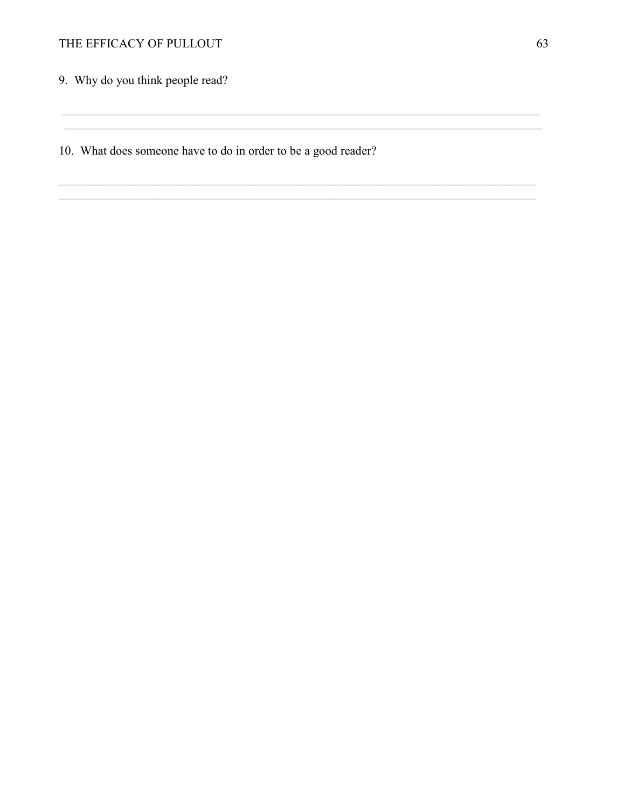9. Why do you think people read?

10. What does someone have to do in order to be a good reader?

<u> 1989 - Johann Stoff, deutscher Stoffen und der Stoffen und der Stoffen und der Stoffen und der Stoffen und der</u>

<u> 1989 - Johann John Stein, marwolaethau (b. 1989)</u>